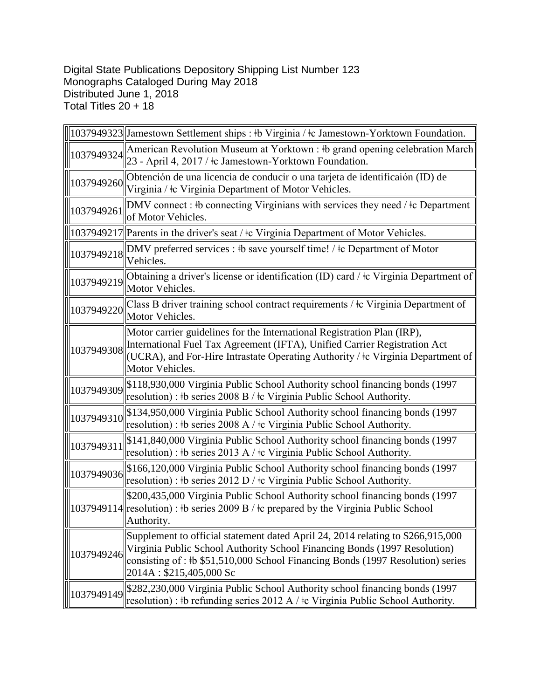Digital State Publications Depository Shipping List Number 123 Monographs Cataloged During May 2018 Distributed June 1, 2018 Total Titles 20 + 18

|            | 1037949323  Jamestown Settlement ships : \times Virginia / \times Jamestown-Yorktown Foundation.                                                                                                                                                                           |
|------------|----------------------------------------------------------------------------------------------------------------------------------------------------------------------------------------------------------------------------------------------------------------------------|
| 1037949324 | American Revolution Museum at Yorktown : #b grand opening celebration March<br>23 - April 4, 2017 / ‡c Jamestown-Yorktown Foundation.                                                                                                                                      |
| 1037949260 | Obtención de una licencia de conducir o una tarjeta de identificaión (ID) de<br>Virginia / ‡c Virginia Department of Motor Vehicles.                                                                                                                                       |
| 1037949261 | DMV connect : #b connecting Virginians with services they need / $\pm c$ Department<br>of Motor Vehicles.                                                                                                                                                                  |
|            | 1037949217  Parents in the driver's seat / $\pm c$ Virginia Department of Motor Vehicles.                                                                                                                                                                                  |
| 1037949218 | DMV preferred services : #b save yourself time! / #c Department of Motor<br>Vehicles.                                                                                                                                                                                      |
| 1037949219 | Obtaining a driver's license or identification (ID) card / ‡c Virginia Department of<br>Motor Vehicles.                                                                                                                                                                    |
| 1037949220 | Class B driver training school contract requirements / $\pm c$ Virginia Department of<br>Motor Vehicles.                                                                                                                                                                   |
| 1037949308 | Motor carrier guidelines for the International Registration Plan (IRP),<br>International Fuel Tax Agreement (IFTA), Unified Carrier Registration Act<br>(UCRA), and For-Hire Intrastate Operating Authority / ‡c Virginia Department of<br>Motor Vehicles.                 |
| 1037949309 | \$118,930,000 Virginia Public School Authority school financing bonds (1997<br>resolution) : #b series $2008 B / \text{\textdegree}$ Virginia Public School Authority.                                                                                                     |
| 1037949310 | \$134,950,000 Virginia Public School Authority school financing bonds (1997<br>resolution) : $\frac{1}{2}$ b series 2008 A / $\frac{1}{2}$ Virginia Public School Authority.                                                                                               |
| 1037949311 | \$141,840,000 Virginia Public School Authority school financing bonds (1997<br>resolution) : #b series 2013 A / $\pm$ Virginia Public School Authority.                                                                                                                    |
| 1037949036 | \$166,120,000 Virginia Public School Authority school financing bonds (1997)<br>resolution) : #b series 2012 D / $\pm$ c Virginia Public School Authority.                                                                                                                 |
|            | \$200,435,000 Virginia Public School Authority school financing bonds (1997<br>1037949114 resolution) : $\frac{1}{2}$ b series 2009 B / $\frac{1}{2}$ prepared by the Virginia Public School<br>Authority.                                                                 |
| 1037949246 | Supplement to official statement dated April 24, 2014 relating to \$266,915,000<br>Virginia Public School Authority School Financing Bonds (1997 Resolution)<br>consisting of : #b \$51,510,000 School Financing Bonds (1997 Resolution) series<br>2014A: \$215,405,000 Sc |
| 1037949149 | \$282,230,000 Virginia Public School Authority school financing bonds (1997<br>resolution) : #b refunding series $2012$ A / $\pm$ Virginia Public School Authority.                                                                                                        |